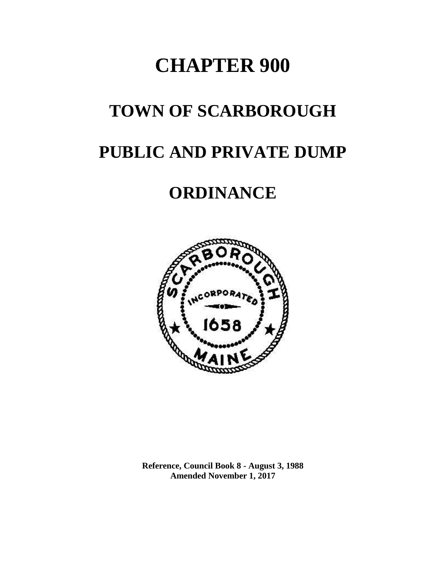# **CHAPTER 900**

# **TOWN OF SCARBOROUGH**

# **PUBLIC AND PRIVATE DUMP**

# **ORDINANCE**



**Reference, Council Book 8 - August 3, 1988 Amended November 1, 2017**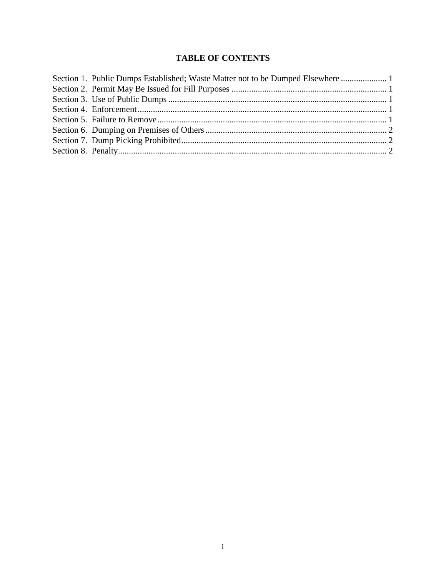# **TABLE OF CONTENTS**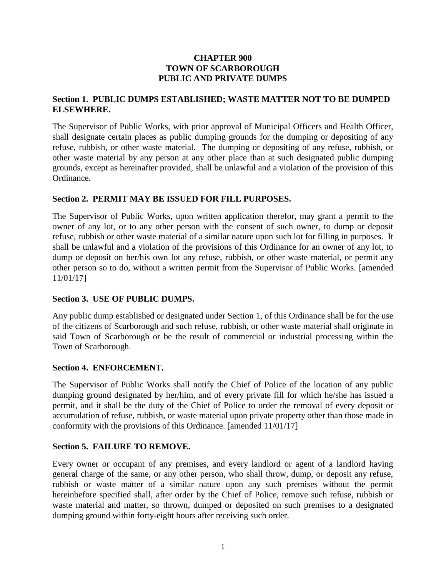### <span id="page-2-1"></span>**CHAPTER 900 TOWN OF SCARBOROUGH PUBLIC AND PRIVATE DUMPS**

### <span id="page-2-0"></span>**Section 1. PUBLIC DUMPS ESTABLISHED; WASTE MATTER NOT TO BE DUMPED ELSEWHERE.**

The Supervisor of Public Works, with prior approval of Municipal Officers and Health Officer, shall designate certain places as public dumping grounds for the dumping or depositing of any refuse, rubbish, or other waste material. The dumping or depositing of any refuse, rubbish, or other waste material by any person at any other place than at such designated public dumping grounds, except as hereinafter provided, shall be unlawful and a violation of the provision of this Ordinance.

### **Section 2. PERMIT MAY BE ISSUED FOR FILL PURPOSES.**

The Supervisor of Public Works, upon written application therefor, may grant a permit to the owner of any lot, or to any other person with the consent of such owner, to dump or deposit refuse, rubbish or other waste material of a similar nature upon such lot for filling in purposes. It shall be unlawful and a violation of the provisions of this Ordinance for an owner of any lot, to dump or deposit on her/his own lot any refuse, rubbish, or other waste material, or permit any other person so to do, without a written permit from the Supervisor of Public Works. [amended 11/01/17]

# <span id="page-2-2"></span>**Section 3. USE OF PUBLIC DUMPS.**

Any public dump established or designated under Section 1, of this Ordinance shall be for the use of the citizens of Scarborough and such refuse, rubbish, or other waste material shall originate in said Town of Scarborough or be the result of commercial or industrial processing within the Town of Scarborough.

#### <span id="page-2-3"></span>**Section 4. ENFORCEMENT.**

The Supervisor of Public Works shall notify the Chief of Police of the location of any public dumping ground designated by her/him, and of every private fill for which he/she has issued a permit, and it shall be the duty of the Chief of Police to order the removal of every deposit or accumulation of refuse, rubbish, or waste material upon private property other than those made in conformity with the provisions of this Ordinance. [amended 11/01/17]

# <span id="page-2-4"></span>**Section 5. FAILURE TO REMOVE.**

Every owner or occupant of any premises, and every landlord or agent of a landlord having general charge of the same, or any other person, who shall throw, dump, or deposit any refuse, rubbish or waste matter of a similar nature upon any such premises without the permit hereinbefore specified shall, after order by the Chief of Police, remove such refuse, rubbish or waste material and matter, so thrown, dumped or deposited on such premises to a designated dumping ground within forty-eight hours after receiving such order.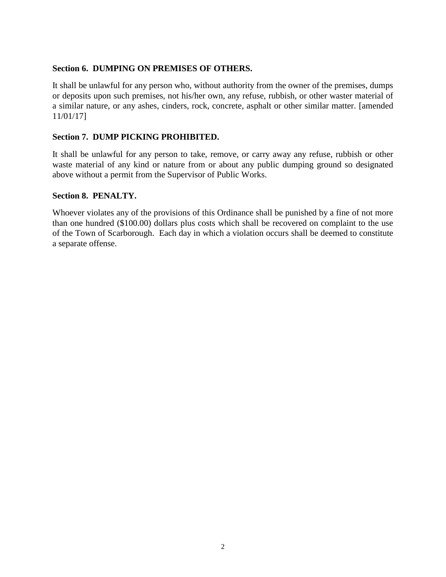#### <span id="page-3-0"></span>**Section 6. DUMPING ON PREMISES OF OTHERS.**

It shall be unlawful for any person who, without authority from the owner of the premises, dumps or deposits upon such premises, not his/her own, any refuse, rubbish, or other waster material of a similar nature, or any ashes, cinders, rock, concrete, asphalt or other similar matter. [amended 11/01/17]

### <span id="page-3-1"></span>**Section 7. DUMP PICKING PROHIBITED.**

It shall be unlawful for any person to take, remove, or carry away any refuse, rubbish or other waste material of any kind or nature from or about any public dumping ground so designated above without a permit from the Supervisor of Public Works.

#### <span id="page-3-2"></span>**Section 8. PENALTY.**

Whoever violates any of the provisions of this Ordinance shall be punished by a fine of not more than one hundred (\$100.00) dollars plus costs which shall be recovered on complaint to the use of the Town of Scarborough. Each day in which a violation occurs shall be deemed to constitute a separate offense.